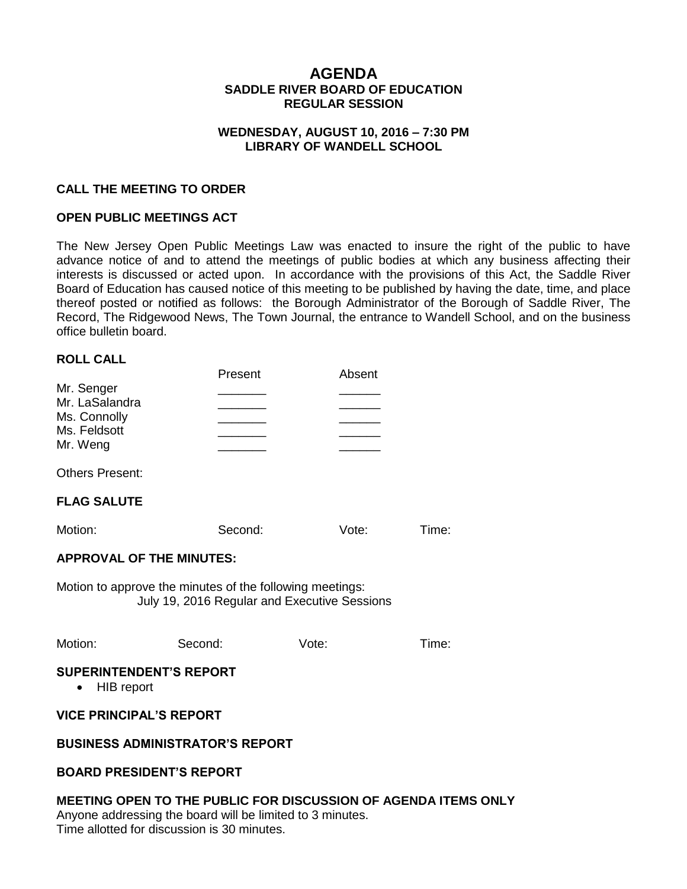# **AGENDA SADDLE RIVER BOARD OF EDUCATION REGULAR SESSION**

#### **WEDNESDAY, AUGUST 10, 2016 – 7:30 PM LIBRARY OF WANDELL SCHOOL**

### **CALL THE MEETING TO ORDER**

#### **OPEN PUBLIC MEETINGS ACT**

The New Jersey Open Public Meetings Law was enacted to insure the right of the public to have advance notice of and to attend the meetings of public bodies at which any business affecting their interests is discussed or acted upon. In accordance with the provisions of this Act, the Saddle River Board of Education has caused notice of this meeting to be published by having the date, time, and place thereof posted or notified as follows: the Borough Administrator of the Borough of Saddle River, The Record, The Ridgewood News, The Town Journal, the entrance to Wandell School, and on the business office bulletin board.

#### **ROLL CALL**

|                | Present | Absent |
|----------------|---------|--------|
| Mr. Senger     |         |        |
| Mr. LaSalandra |         |        |
| Ms. Connolly   |         |        |
| Ms. Feldsott   |         |        |
| Mr. Weng       |         |        |

Others Present:

#### **FLAG SALUTE**

Motion: Second: Vote: Time:

#### **APPROVAL OF THE MINUTES:**

Motion to approve the minutes of the following meetings: July 19, 2016 Regular and Executive Sessions

Motion: Second: Vote: Time:

#### **SUPERINTENDENT'S REPORT**

• HIB report

#### **VICE PRINCIPAL'S REPORT**

#### **BUSINESS ADMINISTRATOR'S REPORT**

#### **BOARD PRESIDENT'S REPORT**

**MEETING OPEN TO THE PUBLIC FOR DISCUSSION OF AGENDA ITEMS ONLY** Anyone addressing the board will be limited to 3 minutes. Time allotted for discussion is 30 minutes.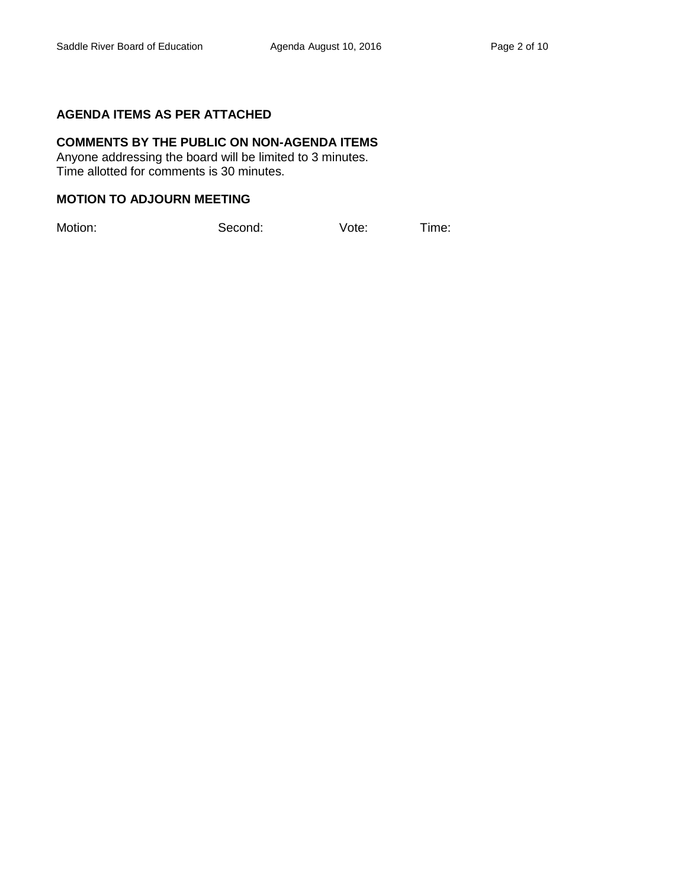## **AGENDA ITEMS AS PER ATTACHED**

# **COMMENTS BY THE PUBLIC ON NON-AGENDA ITEMS**

Anyone addressing the board will be limited to 3 minutes. Time allotted for comments is 30 minutes.

#### **MOTION TO ADJOURN MEETING**

Motion: Second: Vote: Time: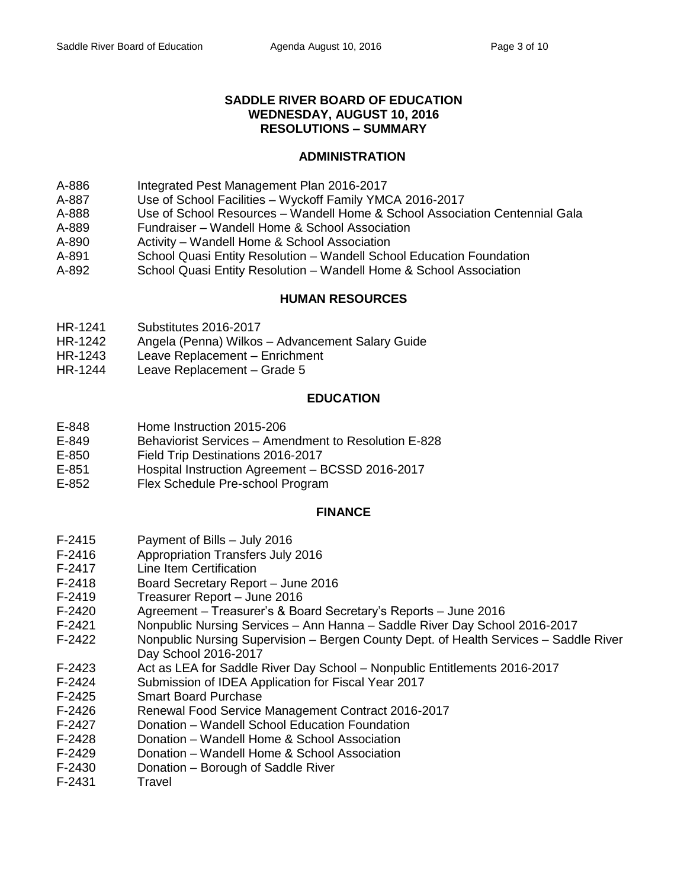### **SADDLE RIVER BOARD OF EDUCATION WEDNESDAY, AUGUST 10, 2016 RESOLUTIONS – SUMMARY**

## **ADMINISTRATION**

- A-886 Integrated Pest Management Plan 2016-2017
- A-887 Use of School Facilities Wyckoff Family YMCA 2016-2017
- A-888 Use of School Resources Wandell Home & School Association Centennial Gala
- A-889 Fundraiser Wandell Home & School Association
- A-890 Activity Wandell Home & School Association
- A-891 School Quasi Entity Resolution Wandell School Education Foundation
- A-892 School Quasi Entity Resolution Wandell Home & School Association

## **HUMAN RESOURCES**

- HR-1241 Substitutes 2016-2017
- HR-1242 Angela (Penna) Wilkos Advancement Salary Guide
- HR-1243 Leave Replacement Enrichment
- HR-1244 Leave Replacement Grade 5

#### **EDUCATION**

- E-848 Home Instruction 2015-206
- E-849 Behaviorist Services Amendment to Resolution E-828
- E-850 Field Trip Destinations 2016-2017
- E-851 Hospital Instruction Agreement BCSSD 2016-2017
- E-852 Flex Schedule Pre-school Program

#### **FINANCE**

- F-2415 Payment of Bills July 2016
- F-2416 Appropriation Transfers July 2016
- F-2417 Line Item Certification
- F-2418 Board Secretary Report June 2016
- F-2419 Treasurer Report June 2016
- F-2420 Agreement Treasurer's & Board Secretary's Reports June 2016
- F-2421 Nonpublic Nursing Services Ann Hanna Saddle River Day School 2016-2017
- F-2422 Nonpublic Nursing Supervision Bergen County Dept. of Health Services Saddle River Day School 2016-2017
- F-2423 Act as LEA for Saddle River Day School Nonpublic Entitlements 2016-2017
- F-2424 Submission of IDEA Application for Fiscal Year 2017
- F-2425 Smart Board Purchase
- F-2426 Renewal Food Service Management Contract 2016-2017
- F-2427 Donation Wandell School Education Foundation
- F-2428 Donation Wandell Home & School Association
- F-2429 Donation Wandell Home & School Association
- F-2430 Donation Borough of Saddle River
- F-2431 Travel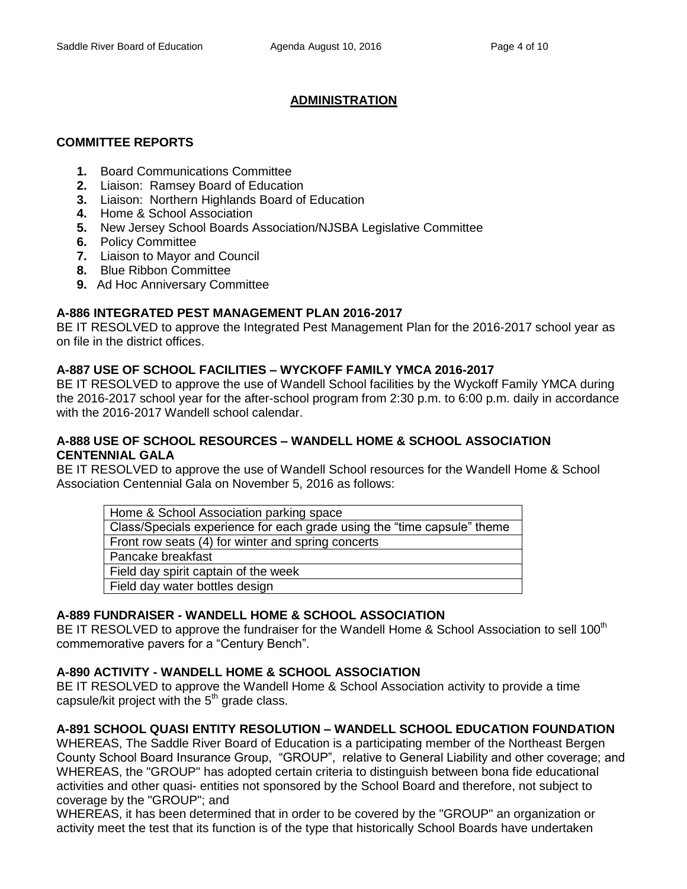# **ADMINISTRATION**

# **COMMITTEE REPORTS**

- **1.** Board Communications Committee
- **2.** Liaison: Ramsey Board of Education
- **3.** Liaison: Northern Highlands Board of Education
- **4.** Home & School Association
- **5.** New Jersey School Boards Association/NJSBA Legislative Committee
- **6.** Policy Committee
- **7.** Liaison to Mayor and Council
- **8.** Blue Ribbon Committee
- **9.** Ad Hoc Anniversary Committee

# **A-886 INTEGRATED PEST MANAGEMENT PLAN 2016-2017**

BE IT RESOLVED to approve the Integrated Pest Management Plan for the 2016-2017 school year as on file in the district offices.

# **A-887 USE OF SCHOOL FACILITIES – WYCKOFF FAMILY YMCA 2016-2017**

BE IT RESOLVED to approve the use of Wandell School facilities by the Wyckoff Family YMCA during the 2016-2017 school year for the after-school program from 2:30 p.m. to 6:00 p.m. daily in accordance with the 2016-2017 Wandell school calendar.

## **A-888 USE OF SCHOOL RESOURCES – WANDELL HOME & SCHOOL ASSOCIATION CENTENNIAL GALA**

BE IT RESOLVED to approve the use of Wandell School resources for the Wandell Home & School Association Centennial Gala on November 5, 2016 as follows:

| Home & School Association parking space                                 |
|-------------------------------------------------------------------------|
| Class/Specials experience for each grade using the "time capsule" theme |
| Front row seats (4) for winter and spring concerts                      |
| Pancake breakfast                                                       |
| Field day spirit captain of the week                                    |
| Field day water bottles design                                          |

# **A-889 FUNDRAISER - WANDELL HOME & SCHOOL ASSOCIATION**

BE IT RESOLVED to approve the fundraiser for the Wandell Home & School Association to sell 100<sup>th</sup> commemorative pavers for a "Century Bench".

# **A-890 ACTIVITY - WANDELL HOME & SCHOOL ASSOCIATION**

BE IT RESOLVED to approve the Wandell Home & School Association activity to provide a time capsule/kit project with the  $5<sup>th</sup>$  grade class.

# **A-891 SCHOOL QUASI ENTITY RESOLUTION – WANDELL SCHOOL EDUCATION FOUNDATION**

WHEREAS, The Saddle River Board of Education is a participating member of the Northeast Bergen County School Board Insurance Group, "GROUP", relative to General Liability and other coverage; and WHEREAS, the "GROUP" has adopted certain criteria to distinguish between bona fide educational activities and other quasi- entities not sponsored by the School Board and therefore, not subject to coverage by the "GROUP"; and

WHEREAS, it has been determined that in order to be covered by the "GROUP" an organization or activity meet the test that its function is of the type that historically School Boards have undertaken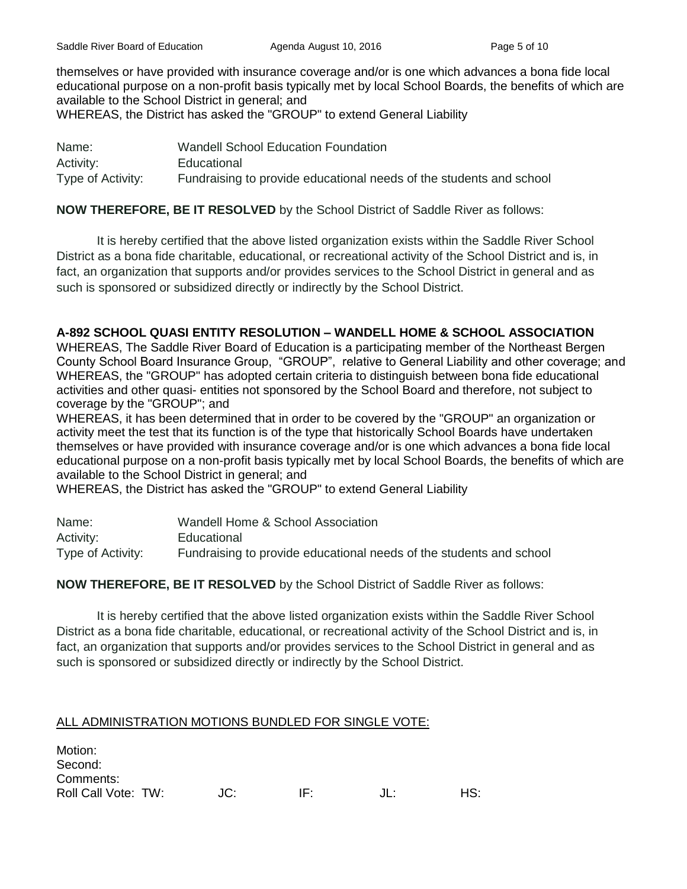Saddle River Board of Education **Agenda August 10, 2016** Page 5 of 10

themselves or have provided with insurance coverage and/or is one which advances a bona fide local educational purpose on a non-profit basis typically met by local School Boards, the benefits of which are available to the School District in general; and WHEREAS, the District has asked the "GROUP" to extend General Liability

| Name:             | <b>Wandell School Education Foundation</b>                          |
|-------------------|---------------------------------------------------------------------|
| Activity:         | Educational                                                         |
| Type of Activity: | Fundraising to provide educational needs of the students and school |

# **NOW THEREFORE, BE IT RESOLVED** by the School District of Saddle River as follows:

It is hereby certified that the above listed organization exists within the Saddle River School District as a bona fide charitable, educational, or recreational activity of the School District and is, in fact, an organization that supports and/or provides services to the School District in general and as such is sponsored or subsidized directly or indirectly by the School District.

# **A-892 SCHOOL QUASI ENTITY RESOLUTION – WANDELL HOME & SCHOOL ASSOCIATION**

WHEREAS, The Saddle River Board of Education is a participating member of the Northeast Bergen County School Board Insurance Group, "GROUP", relative to General Liability and other coverage; and WHEREAS, the "GROUP" has adopted certain criteria to distinguish between bona fide educational activities and other quasi- entities not sponsored by the School Board and therefore, not subject to coverage by the "GROUP"; and

WHEREAS, it has been determined that in order to be covered by the "GROUP" an organization or activity meet the test that its function is of the type that historically School Boards have undertaken themselves or have provided with insurance coverage and/or is one which advances a bona fide local educational purpose on a non-profit basis typically met by local School Boards, the benefits of which are available to the School District in general; and

WHEREAS, the District has asked the "GROUP" to extend General Liability

| Name:             | Wandell Home & School Association                                   |
|-------------------|---------------------------------------------------------------------|
| Activity:         | Educational                                                         |
| Type of Activity: | Fundraising to provide educational needs of the students and school |

## **NOW THEREFORE, BE IT RESOLVED** by the School District of Saddle River as follows:

It is hereby certified that the above listed organization exists within the Saddle River School District as a bona fide charitable, educational, or recreational activity of the School District and is, in fact, an organization that supports and/or provides services to the School District in general and as such is sponsored or subsidized directly or indirectly by the School District.

# ALL ADMINISTRATION MOTIONS BUNDLED FOR SINGLE VOTE:

| Motion:<br>Second:  |     |     |              |     |
|---------------------|-----|-----|--------------|-----|
| Comments:           |     |     |              |     |
| Roll Call Vote: TW: | JC: | IF. | $\mathbf{H}$ | HS: |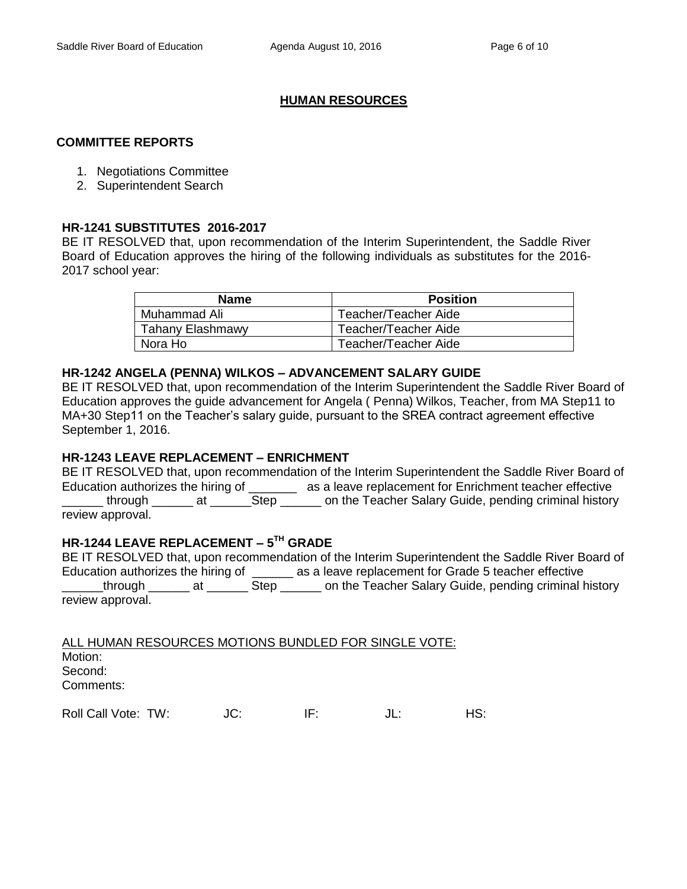## **HUMAN RESOURCES**

#### **COMMITTEE REPORTS**

- 1. Negotiations Committee
- 2. Superintendent Search

#### **HR-1241 SUBSTITUTES 2016-2017**

BE IT RESOLVED that, upon recommendation of the Interim Superintendent, the Saddle River Board of Education approves the hiring of the following individuals as substitutes for the 2016- 2017 school year:

| <b>Name</b>             | <b>Position</b>      |
|-------------------------|----------------------|
| Muhammad Ali            | Teacher/Teacher Aide |
| <b>Tahany Elashmawy</b> | Teacher/Teacher Aide |
| Nora Ho                 | Teacher/Teacher Aide |

#### **HR-1242 ANGELA (PENNA) WILKOS – ADVANCEMENT SALARY GUIDE**

BE IT RESOLVED that, upon recommendation of the Interim Superintendent the Saddle River Board of Education approves the guide advancement for Angela ( Penna) Wilkos, Teacher, from MA Step11 to MA+30 Step11 on the Teacher's salary guide, pursuant to the SREA contract agreement effective September 1, 2016.

## **HR-1243 LEAVE REPLACEMENT – ENRICHMENT**

BE IT RESOLVED that, upon recommendation of the Interim Superintendent the Saddle River Board of Education authorizes the hiring of \_\_\_\_\_\_\_\_ as a leave replacement for Enrichment teacher effective through \_\_\_\_\_\_ at \_\_\_\_\_\_\_Step \_\_\_\_\_\_ on the Teacher Salary Guide, pending criminal history review approval.

## **HR-1244 LEAVE REPLACEMENT – 5 TH GRADE**

BE IT RESOLVED that, upon recommendation of the Interim Superintendent the Saddle River Board of Education authorizes the hiring of \_\_\_\_\_\_ as a leave replacement for Grade 5 teacher effective Lethrough \_\_\_\_\_\_\_ at \_\_\_\_\_\_\_\_ Step \_\_\_\_\_\_\_ on the Teacher Salary Guide, pending criminal history review approval.

| ALL HUMAN RESOURCES MOTIONS BUNDLED FOR SINGLE VOTE: |     |     |        |     |
|------------------------------------------------------|-----|-----|--------|-----|
| Motion:                                              |     |     |        |     |
| Second:                                              |     |     |        |     |
| Comments:                                            |     |     |        |     |
| Roll Call Vote: TW:                                  | JC. | IF: | . II - | HS∙ |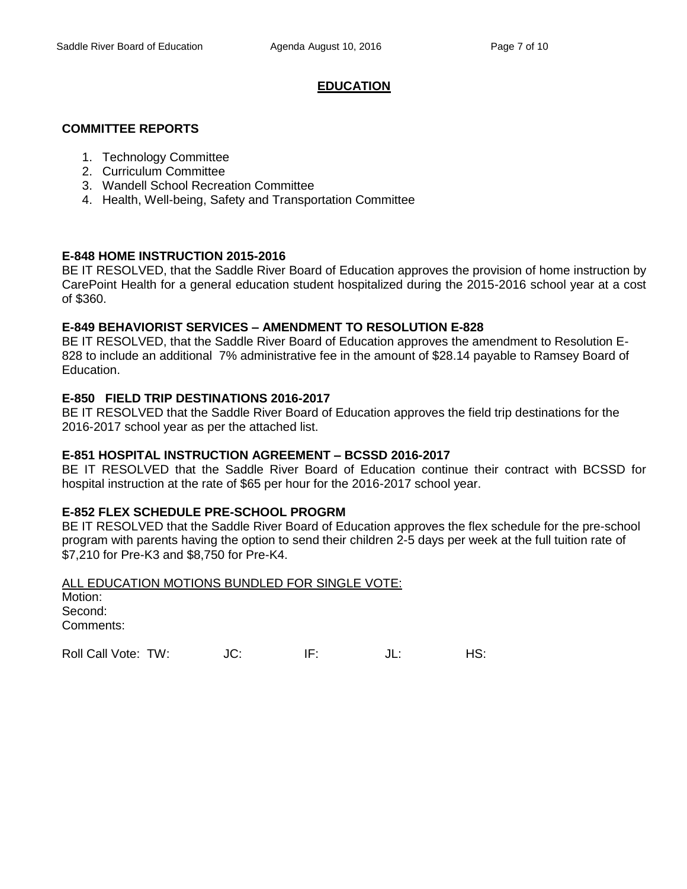## **EDUCATION**

### **COMMITTEE REPORTS**

- 1. Technology Committee
- 2. Curriculum Committee
- 3. Wandell School Recreation Committee
- 4. Health, Well-being, Safety and Transportation Committee

## **E-848 HOME INSTRUCTION 2015-2016**

BE IT RESOLVED, that the Saddle River Board of Education approves the provision of home instruction by CarePoint Health for a general education student hospitalized during the 2015-2016 school year at a cost of \$360.

#### **E-849 BEHAVIORIST SERVICES – AMENDMENT TO RESOLUTION E-828**

BE IT RESOLVED, that the Saddle River Board of Education approves the amendment to Resolution E-828 to include an additional 7% administrative fee in the amount of \$28.14 payable to Ramsey Board of Education.

#### **E-850 FIELD TRIP DESTINATIONS 2016-2017**

BE IT RESOLVED that the Saddle River Board of Education approves the field trip destinations for the 2016-2017 school year as per the attached list.

#### **E-851 HOSPITAL INSTRUCTION AGREEMENT – BCSSD 2016-2017**

BE IT RESOLVED that the Saddle River Board of Education continue their contract with BCSSD for hospital instruction at the rate of \$65 per hour for the 2016-2017 school year.

## **E-852 FLEX SCHEDULE PRE-SCHOOL PROGRM**

BE IT RESOLVED that the Saddle River Board of Education approves the flex schedule for the pre-school program with parents having the option to send their children 2-5 days per week at the full tuition rate of \$7,210 for Pre-K3 and \$8,750 for Pre-K4.

| ALL EDUCATION MOTIONS BUNDLED FOR SINGLE VOTE: |  |
|------------------------------------------------|--|
| Motion:                                        |  |
| Second:                                        |  |
| Comments:                                      |  |
|                                                |  |

Roll Call Vote: TW:  $JC$ : IF:  $JL$ : IL: HS: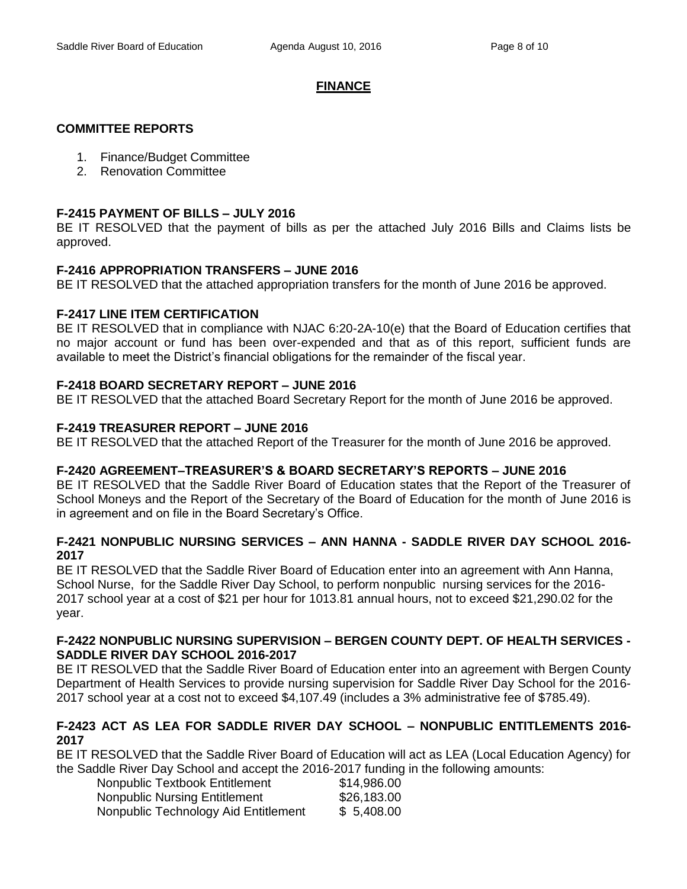## **FINANCE**

# **COMMITTEE REPORTS**

- 1. Finance/Budget Committee
- 2. Renovation Committee

# **F-2415 PAYMENT OF BILLS – JULY 2016**

BE IT RESOLVED that the payment of bills as per the attached July 2016 Bills and Claims lists be approved.

# **F-2416 APPROPRIATION TRANSFERS – JUNE 2016**

BE IT RESOLVED that the attached appropriation transfers for the month of June 2016 be approved.

# **F-2417 LINE ITEM CERTIFICATION**

BE IT RESOLVED that in compliance with NJAC 6:20-2A-10(e) that the Board of Education certifies that no major account or fund has been over-expended and that as of this report, sufficient funds are available to meet the District's financial obligations for the remainder of the fiscal year.

# **F-2418 BOARD SECRETARY REPORT – JUNE 2016**

BE IT RESOLVED that the attached Board Secretary Report for the month of June 2016 be approved.

# **F-2419 TREASURER REPORT – JUNE 2016**

BE IT RESOLVED that the attached Report of the Treasurer for the month of June 2016 be approved.

## **F-2420 AGREEMENT–TREASURER'S & BOARD SECRETARY'S REPORTS – JUNE 2016**

BE IT RESOLVED that the Saddle River Board of Education states that the Report of the Treasurer of School Moneys and the Report of the Secretary of the Board of Education for the month of June 2016 is in agreement and on file in the Board Secretary's Office.

## **F-2421 NONPUBLIC NURSING SERVICES – ANN HANNA - SADDLE RIVER DAY SCHOOL 2016- 2017**

BE IT RESOLVED that the Saddle River Board of Education enter into an agreement with Ann Hanna, School Nurse, for the Saddle River Day School, to perform nonpublic nursing services for the 2016- 2017 school year at a cost of \$21 per hour for 1013.81 annual hours, not to exceed \$21,290.02 for the year.

## **F-2422 NONPUBLIC NURSING SUPERVISION – BERGEN COUNTY DEPT. OF HEALTH SERVICES - SADDLE RIVER DAY SCHOOL 2016-2017**

BE IT RESOLVED that the Saddle River Board of Education enter into an agreement with Bergen County Department of Health Services to provide nursing supervision for Saddle River Day School for the 2016- 2017 school year at a cost not to exceed \$4,107.49 (includes a 3% administrative fee of \$785.49).

## **F-2423 ACT AS LEA FOR SADDLE RIVER DAY SCHOOL – NONPUBLIC ENTITLEMENTS 2016- 2017**

BE IT RESOLVED that the Saddle River Board of Education will act as LEA (Local Education Agency) for the Saddle River Day School and accept the 2016-2017 funding in the following amounts:

| Nonpublic Textbook Entitlement       | \$14,986.00 |
|--------------------------------------|-------------|
| <b>Nonpublic Nursing Entitlement</b> | \$26,183.00 |
| Nonpublic Technology Aid Entitlement | \$5,408.00  |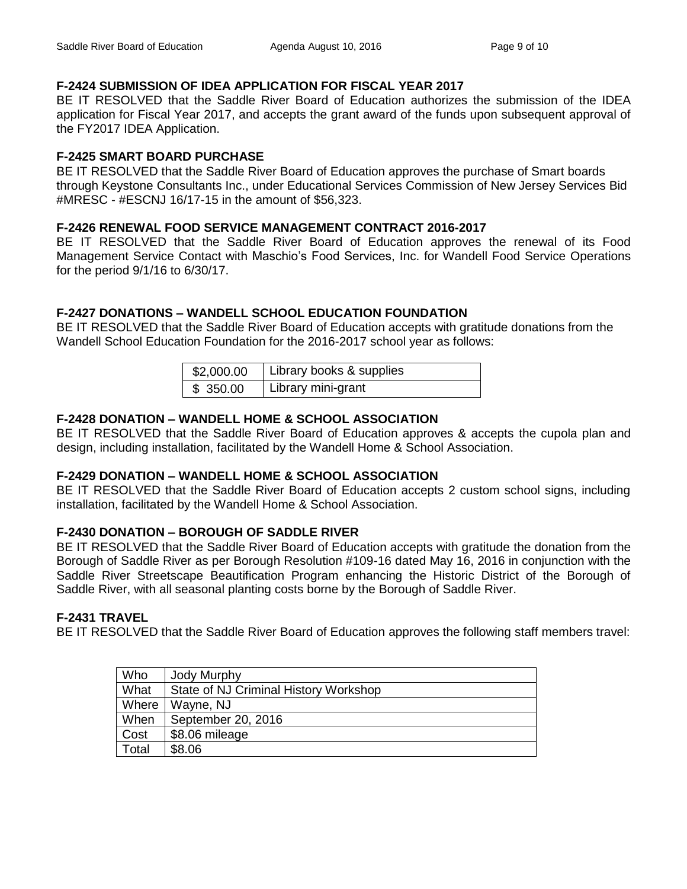# **F-2424 SUBMISSION OF IDEA APPLICATION FOR FISCAL YEAR 2017**

BE IT RESOLVED that the Saddle River Board of Education authorizes the submission of the IDEA application for Fiscal Year 2017, and accepts the grant award of the funds upon subsequent approval of the FY2017 IDEA Application.

# **F-2425 SMART BOARD PURCHASE**

BE IT RESOLVED that the Saddle River Board of Education approves the purchase of Smart boards through Keystone Consultants Inc., under Educational Services Commission of New Jersey Services Bid #MRESC - #ESCNJ 16/17-15 in the amount of \$56,323.

# **F-2426 RENEWAL FOOD SERVICE MANAGEMENT CONTRACT 2016-2017**

BE IT RESOLVED that the Saddle River Board of Education approves the renewal of its Food Management Service Contact with Maschio's Food Services, Inc. for Wandell Food Service Operations for the period 9/1/16 to 6/30/17.

# **F-2427 DONATIONS – WANDELL SCHOOL EDUCATION FOUNDATION**

BE IT RESOLVED that the Saddle River Board of Education accepts with gratitude donations from the Wandell School Education Foundation for the 2016-2017 school year as follows:

| \$2,000.00 | Library books & supplies |
|------------|--------------------------|
| \$350.00   | Library mini-grant       |

# **F-2428 DONATION – WANDELL HOME & SCHOOL ASSOCIATION**

BE IT RESOLVED that the Saddle River Board of Education approves & accepts the cupola plan and design, including installation, facilitated by the Wandell Home & School Association.

# **F-2429 DONATION – WANDELL HOME & SCHOOL ASSOCIATION**

BE IT RESOLVED that the Saddle River Board of Education accepts 2 custom school signs, including installation, facilitated by the Wandell Home & School Association.

# **F-2430 DONATION – BOROUGH OF SADDLE RIVER**

BE IT RESOLVED that the Saddle River Board of Education accepts with gratitude the donation from the Borough of Saddle River as per Borough Resolution #109-16 dated May 16, 2016 in conjunction with the Saddle River Streetscape Beautification Program enhancing the Historic District of the Borough of Saddle River, with all seasonal planting costs borne by the Borough of Saddle River.

# **F-2431 TRAVEL**

BE IT RESOLVED that the Saddle River Board of Education approves the following staff members travel:

| Who   | <b>Jody Murphy</b>                    |
|-------|---------------------------------------|
| What  | State of NJ Criminal History Workshop |
| Where | Wayne, NJ                             |
| When  | September 20, 2016                    |
| Cost  | \$8.06 mileage                        |
| Total | \$8.06                                |